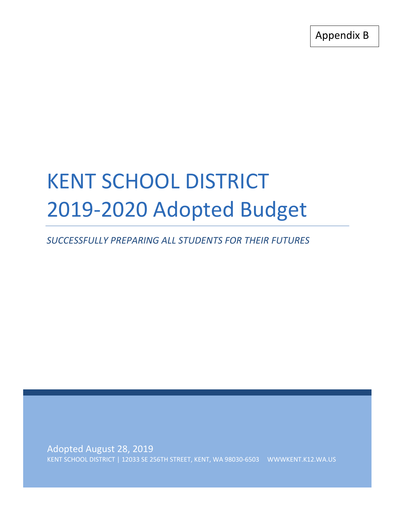Appendix B

## KENT SCHOOL DISTRICT 2019-2020 Adopted Budget

*SUCCESSFULLY PREPARING ALL STUDENTS FOR THEIR FUTURES*

Adopted August 28, 2019 KENT SCHOOL DISTRICT | 12033 SE 256TH STREET, KENT, WA 98030-6503 WWWKENT.K12.WA.US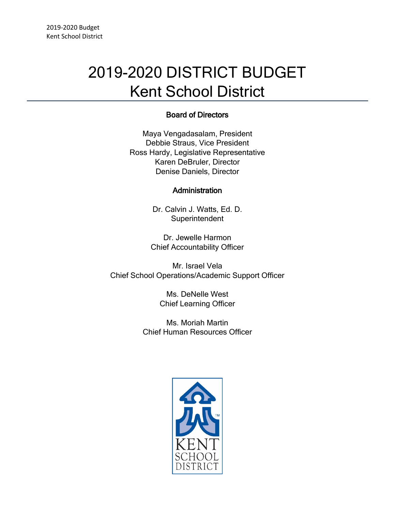### 2019-2020 DISTRICT BUDGET Kent School District

### Board of Directors

Maya Vengadasalam, President Debbie Straus, Vice President Ross Hardy, Legislative Representative Karen DeBruler, Director Denise Daniels, Director

### **Administration**

Dr. Calvin J. Watts, Ed. D. Superintendent

Dr. Jewelle Harmon Chief Accountability Officer

Mr. Israel Vela Chief School Operations/Academic Support Officer

> Ms. DeNelle West Chief Learning Officer

Ms. Moriah Martin Chief Human Resources Officer

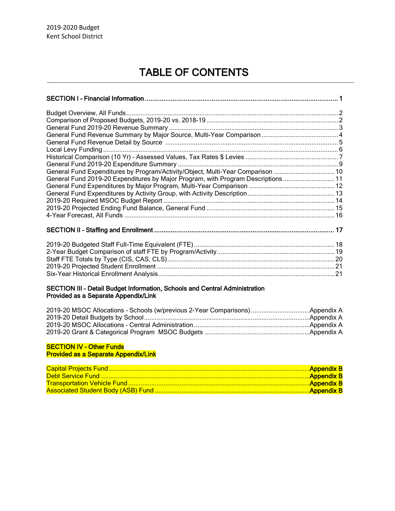### TABLE OF CONTENTS

| General Fund Revenue Detail by Source manufacture manufacture and the state of 5 |  |
|----------------------------------------------------------------------------------|--|
|                                                                                  |  |
|                                                                                  |  |
|                                                                                  |  |
| General Fund Expenditures by Program/Activity/Object, Multi-Year Comparison  10  |  |
| General Fund 2019-20 Expenditures by Major Program, with Program Descriptions 11 |  |
|                                                                                  |  |
|                                                                                  |  |
|                                                                                  |  |
|                                                                                  |  |
|                                                                                  |  |
|                                                                                  |  |
|                                                                                  |  |
|                                                                                  |  |
|                                                                                  |  |
|                                                                                  |  |
|                                                                                  |  |

#### SECTION III – Detail Budget Information, Schools and Central Administration Provided as a Separate Appendix/Link

| 2019-20 MSOC Allocations - Schools (w/previous 2-Year Comparisons)Appendix A |  |
|------------------------------------------------------------------------------|--|
|                                                                              |  |
|                                                                              |  |
|                                                                              |  |

#### SECTION IV – Other Funds Provided as a Separate Appendix/Link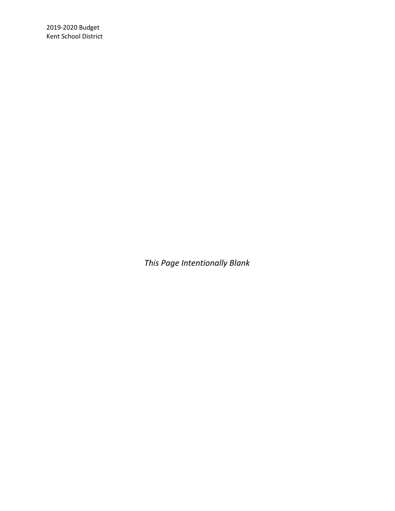*This Page Intentionally Blank*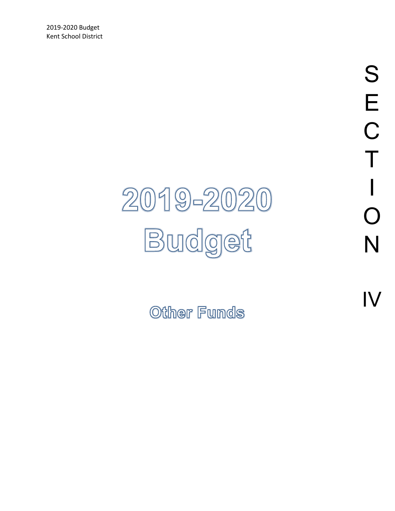# $2019 - 2020$ Budget

Other Funds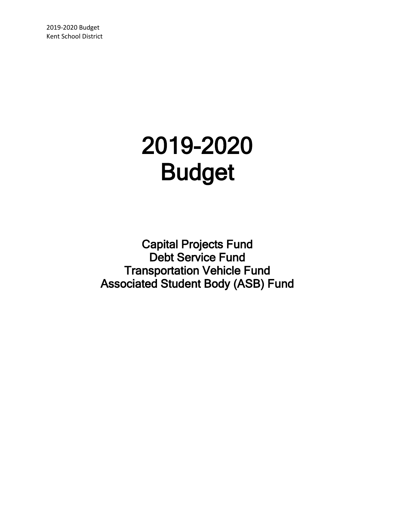# 2019-2020 Budget

 Capital Projects Fund Debt Service Fund Transportation Vehicle Fund Associated Student Body (ASB) Fund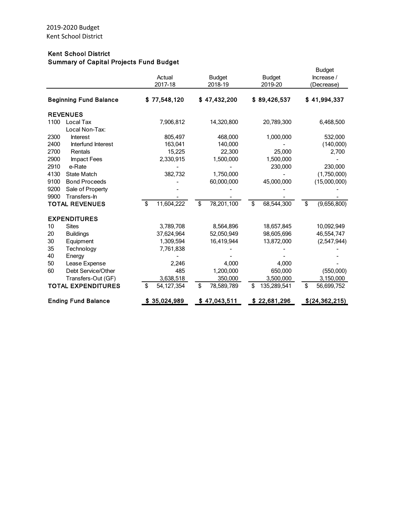### Kent School District Summary of Capital Projects Fund Budget

|      |                               | Actual<br>2017-18  | <b>Budget</b><br>2018-19 | <b>Budget</b><br>2019-20 | <b>Budget</b><br>Increase /<br>(Decrease) |
|------|-------------------------------|--------------------|--------------------------|--------------------------|-------------------------------------------|
|      | <b>Beginning Fund Balance</b> | \$77,548,120       | \$47,432,200             | \$89,426,537             | \$41,994,337                              |
|      | <b>REVENUES</b>               |                    |                          |                          |                                           |
| 1100 | Local Tax                     | 7,906,812          | 14,320,800               | 20,789,300               | 6,468,500                                 |
|      | Local Non-Tax:                |                    |                          |                          |                                           |
| 2300 | Interest                      | 805,497            | 468,000                  | 1,000,000                | 532,000                                   |
| 2400 | Interfund Interest            | 163,041            | 140,000                  |                          | (140,000)                                 |
| 2700 | Rentals                       | 15,225             | 22,300                   | 25,000                   | 2,700                                     |
| 2900 | Impact Fees                   | 2,330,915          | 1,500,000                | 1,500,000                |                                           |
| 2910 | e-Rate                        |                    |                          | 230,000                  | 230,000                                   |
| 4130 | <b>State Match</b>            | 382,732            | 1,750,000                |                          | (1,750,000)                               |
| 9100 | <b>Bond Proceeds</b>          |                    | 60,000,000               | 45,000,000               | (15,000,000)                              |
| 9200 | Sale of Property              |                    |                          |                          |                                           |
| 9900 | Transfers-In                  |                    |                          |                          |                                           |
|      | <b>TOTAL REVENUES</b>         | \$<br>11,604,222   | \$<br>78,201,100         | \$<br>68,544,300         | \$<br>(9,656,800)                         |
|      | <b>EXPENDITURES</b>           |                    |                          |                          |                                           |
| 10   | <b>Sites</b>                  | 3,789,708          | 8,564,896                | 18,657,845               | 10,092,949                                |
| 20   | <b>Buildings</b>              | 37,624,964         | 52,050,949               | 98,605,696               | 46,554,747                                |
| 30   | Equipment                     | 1,309,594          | 16,419,944               | 13,872,000               | (2,547,944)                               |
| 35   | Technology                    | 7,761,838          |                          |                          |                                           |
| 40   | Energy                        |                    |                          |                          |                                           |
| 50   | Lease Expense                 | 2,246              | 4,000                    | 4,000                    |                                           |
| 60   | Debt Service/Other            | 485                | 1,200,000                | 650,000                  | (550,000)                                 |
|      | Transfers-Out (GF)            | 3,638,518          | 350,000                  | 3,500,000                | 3,150,000                                 |
|      | <b>TOTAL EXPENDITURES</b>     | \$<br>54, 127, 354 | \$<br>78,589,789         | \$<br>135,289,541        | \$<br>56,699,752                          |
|      | <b>Ending Fund Balance</b>    | \$35,024,989       | \$47,043,511             | \$22,681,296             | \$(24, 362, 215)                          |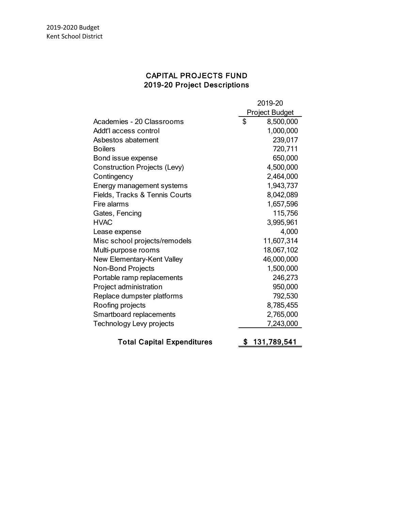### CAPITAL PROJECTS FUND 2019-20 Project Descriptions

|                                     | 2019-20           |
|-------------------------------------|-------------------|
|                                     | Project Budget    |
| Academies - 20 Classrooms           | \$<br>8,500,000   |
| Addt'l access control               | 1,000,000         |
| Asbestos abatement                  | 239,017           |
| <b>Boilers</b>                      | 720,711           |
| Bond issue expense                  | 650,000           |
| <b>Construction Projects (Levy)</b> | 4,500,000         |
| Contingency                         | 2,464,000         |
| Energy management systems           | 1,943,737         |
| Fields, Tracks & Tennis Courts      | 8,042,089         |
| Fire alarms                         | 1,657,596         |
| Gates, Fencing                      | 115,756           |
| <b>HVAC</b>                         | 3,995,961         |
| Lease expense                       | 4,000             |
| Misc school projects/remodels       | 11,607,314        |
| Multi-purpose rooms                 | 18,067,102        |
| New Elementary-Kent Valley          | 46,000,000        |
| Non-Bond Projects                   | 1,500,000         |
| Portable ramp replacements          | 246,273           |
| Project administration              | 950,000           |
| Replace dumpster platforms          | 792,530           |
| Roofing projects                    | 8,785,455         |
| Smartboard replacements             | 2,765,000         |
| Technology Levy projects            | 7,243,000         |
|                                     |                   |
| <b>Total Capital Expenditures</b>   | \$<br>131,789,541 |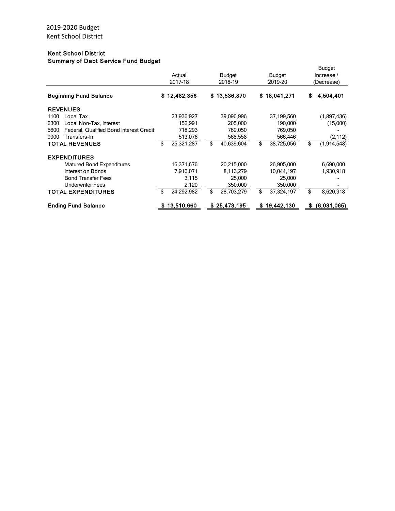### Kent School District Summary of Debt Service Fund Budget

|                                                 |    |              |        |              |               |              |    | <b>Budget</b> |  |
|-------------------------------------------------|----|--------------|--------|--------------|---------------|--------------|----|---------------|--|
|                                                 |    | Actual       | Budget |              | <b>Budget</b> |              |    | Increase /    |  |
|                                                 |    | 2017-18      |        | 2018-19      |               | 2019-20      |    | (Decrease)    |  |
| <b>Beginning Fund Balance</b>                   |    | \$12,482,356 |        | \$13,536,870 |               | \$18,041,271 | S  | 4,504,401     |  |
| <b>REVENUES</b>                                 |    |              |        |              |               |              |    |               |  |
| 1100<br>Local Tax                               |    | 23,936,927   |        | 39,096,996   |               | 37,199,560   |    | (1,897,436)   |  |
| 2300<br>Local Non-Tax, Interest                 |    | 152,991      |        | 205,000      |               | 190,000      |    | (15,000)      |  |
| Federal, Qualified Bond Interest Credit<br>5600 |    | 718,293      |        | 769,050      |               | 769,050      |    |               |  |
| 9900<br>Transfers-In                            |    | 513,076      |        | 568,558      |               | 566,446      |    | (2, 112)      |  |
| <b>TOTAL REVENUES</b>                           | \$ | 25,321,287   | \$     | 40,639,604   | \$            | 38,725,056   | \$ | (1,914,548)   |  |
| <b>EXPENDITURES</b>                             |    |              |        |              |               |              |    |               |  |
| <b>Matured Bond Expenditures</b>                |    | 16,371,676   |        | 20,215,000   |               | 26,905,000   |    | 6,690,000     |  |
| Interest on Bonds                               |    | 7,916,071    |        | 8,113,279    |               | 10,044,197   |    | 1,930,918     |  |
| <b>Bond Transfer Fees</b>                       |    | 3,115        |        | 25,000       |               | 25,000       |    |               |  |
| <b>Underwriter Fees</b>                         |    | 2,120        |        | 350,000      |               | 350,000      |    |               |  |
| <b>TOTAL EXPENDITURES</b>                       | \$ | 24,292,982   | \$     | 28,703,279   | \$            | 37,324,197   | \$ | 8,620,918     |  |
| <b>Ending Fund Balance</b>                      |    | \$13,510,660 |        | \$25,473,195 |               | \$19,442,130 | \$ | (6,031,065)   |  |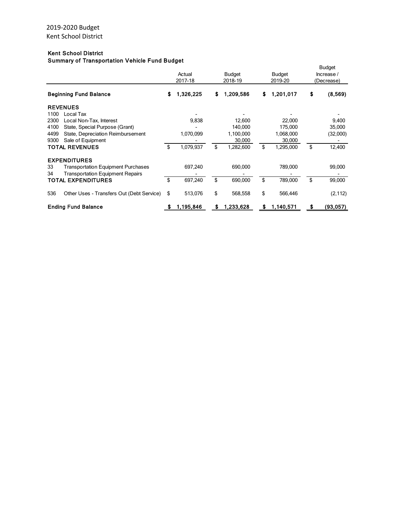### Kent School District Summary of Transportation Vehicle Fund Budget

|                                                  |    | Actual<br>2017-18 |    | <b>Budget</b><br>2018-19 |    | <b>Budget</b><br>2019-20 | <b>Budget</b><br>Increase /<br>(Decrease) |
|--------------------------------------------------|----|-------------------|----|--------------------------|----|--------------------------|-------------------------------------------|
| <b>Beginning Fund Balance</b>                    | \$ | 1,326,225         | \$ | 1,209,586                | \$ | 1,201,017                | \$<br>(8, 569)                            |
| <b>REVENUES</b>                                  |    |                   |    |                          |    |                          |                                           |
| 1100<br>Local Tax                                |    |                   |    |                          |    |                          |                                           |
| 2300<br>Local Non-Tax, Interest                  |    | 9,838             |    | 12,600                   |    | 22,000                   | 9,400                                     |
| 4100<br>State, Special Purpose (Grant)           |    |                   |    | 140,000                  |    | 175,000                  | 35,000                                    |
| 4499<br>State, Depreciation Reimbursement        |    | 1,070,099         |    | 1,100,000                |    | 1,068,000                | (32,000)                                  |
| 9300<br>Sale of Equipment                        |    |                   |    | 30,000                   |    | 30,000                   |                                           |
| <b>TOTAL REVENUES</b>                            | \$ | 1,079,937         | \$ | 1,282,600                | \$ | 1,295,000                | \$<br>12,400                              |
| <b>EXPENDITURES</b>                              |    |                   |    |                          |    |                          |                                           |
| 33<br><b>Transportation Equipment Purchases</b>  |    | 697,240           |    | 690,000                  |    | 789,000                  | 99,000                                    |
| <b>Transportation Equipment Repairs</b><br>34    |    |                   |    |                          |    |                          |                                           |
| <b>TOTAL EXPENDITURES</b>                        | \$ | 697,240           | \$ | 690,000                  | \$ | 789,000                  | \$<br>99,000                              |
| 536<br>Other Uses - Transfers Out (Debt Service) | \$ | 513,076           | \$ | 568,558                  | \$ | 566,446                  | (2, 112)                                  |
| <b>Ending Fund Balance</b>                       | Ŝ. | 1,195,846         | S. | 1,233,628                | S. | 1,140,571                | \$<br>(93,057)                            |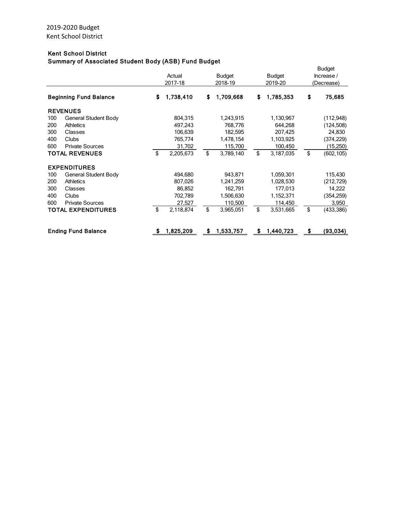### Kent School District Summary of Associated Student Body (ASB) Fund Budget

| <b>Beginning Fund Balance</b> |                             | Actual<br>2017-18 | <b>Budget</b><br>2018-19 | <b>Budget</b><br>2019-20 |           | <b>Budget</b><br>Increase /<br>(Decrease) |            |
|-------------------------------|-----------------------------|-------------------|--------------------------|--------------------------|-----------|-------------------------------------------|------------|
|                               |                             | \$<br>1,738,410   | \$<br>1,709,668          | \$                       | 1,785,353 | \$                                        | 75,685     |
|                               | <b>REVENUES</b>             |                   |                          |                          |           |                                           |            |
| 100                           | <b>General Student Body</b> | 804,315           | 1,243,915                |                          | 1,130,967 |                                           | (112, 948) |
| 200                           | <b>Athletics</b>            | 497,243           | 768,776                  |                          | 644,268   |                                           | (124, 508) |
| 300                           | Classes                     | 106,639           | 182,595                  |                          | 207,425   |                                           | 24,830     |
| 400                           | Clubs                       | 765,774           | 1,478,154                |                          | 1,103,925 |                                           | (374, 229) |
| 600                           | <b>Private Sources</b>      | 31,702            | 115,700                  |                          | 100,450   |                                           | (15, 250)  |
|                               | <b>TOTAL REVENUES</b>       | \$<br>2,205,673   | \$<br>3,789,140          | \$                       | 3,187,035 | \$                                        | (602, 105) |
|                               | <b>EXPENDITURES</b>         |                   |                          |                          |           |                                           |            |
| 100                           | General Student Body        | 494,680           | 943,871                  |                          | 1,059,301 |                                           | 115,430    |
| 200                           | <b>Athletics</b>            | 807,026           | 1,241,259                |                          | 1,028,530 |                                           | (212, 729) |
| 300                           | Classes                     | 86,852            | 162,791                  |                          | 177,013   |                                           | 14,222     |
| 400                           | Clubs                       | 702,789           | 1,506,630                |                          | 1,152,371 |                                           | (354, 259) |
| 600                           | <b>Private Sources</b>      | 27,527            | 110,500                  |                          | 114,450   |                                           | 3,950      |
|                               | <b>TOTAL EXPENDITURES</b>   | \$<br>2,118,874   | \$<br>3,965,051          | \$                       | 3,531,665 | \$                                        | (433, 386) |
|                               | <b>Ending Fund Balance</b>  | \$<br>1,825,209   | \$<br>1,533,757          | \$                       | 1,440,723 | \$                                        | (93,034)   |